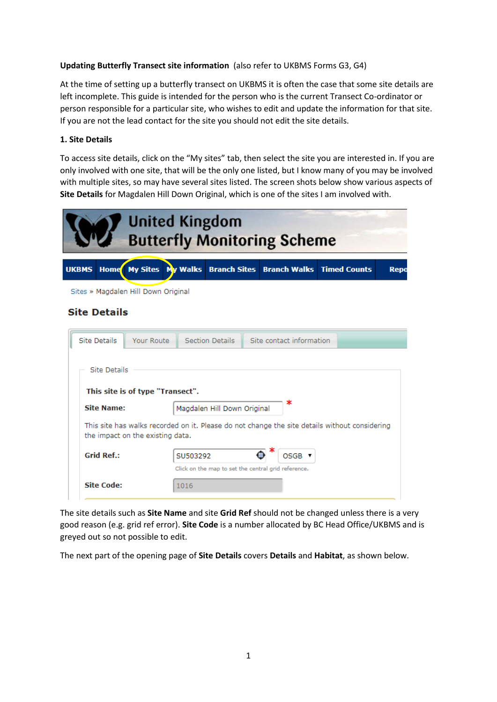# **Updating Butterfly Transect site information** (also refer to UKBMS Forms G3, G4)

At the time of setting up a butterfly transect on UKBMS it is often the case that some site details are left incomplete. This guide is intended for the person who is the current Transect Co-ordinator or person responsible for a particular site, who wishes to edit and update the information for that site. If you are not the lead contact for the site you should not edit the site details.

# **1. Site Details**

To access site details, click on the "My sites" tab, then select the site you are interested in. If you are only involved with one site, that will be the only one listed, but I know many of you may be involved with multiple sites, so may have several sites listed. The screen shots below show various aspects of **Site Details** for Magdalen Hill Down Original, which is one of the sites I am involved with.

| <b>United Kingdom</b><br><b>Butterfly Monitoring Scheme</b> |                                                                                                                                   |            |                                    |                                                     |  |                                  |  |  |      |
|-------------------------------------------------------------|-----------------------------------------------------------------------------------------------------------------------------------|------------|------------------------------------|-----------------------------------------------------|--|----------------------------------|--|--|------|
|                                                             | <b>UKBMS</b><br><b>Home</b>                                                                                                       |            | My Sites   My Walks   Branch Sites |                                                     |  | <b>Branch Walks Timed Counts</b> |  |  | Repo |
|                                                             | Sites » Magdalen Hill Down Original                                                                                               |            |                                    |                                                     |  |                                  |  |  |      |
|                                                             | <b>Site Details</b>                                                                                                               |            |                                    |                                                     |  |                                  |  |  |      |
|                                                             | <b>Site Details</b>                                                                                                               | Your Route |                                    | Section Details                                     |  | Site contact information         |  |  |      |
|                                                             | Site Details<br>This site is of type "Transect".                                                                                  |            |                                    |                                                     |  |                                  |  |  |      |
|                                                             | <b>Site Name:</b>                                                                                                                 |            |                                    | ∗<br>Magdalen Hill Down Original                    |  |                                  |  |  |      |
|                                                             | This site has walks recorded on it. Please do not change the site details without considering<br>the impact on the existing data. |            |                                    |                                                     |  |                                  |  |  |      |
|                                                             | <b>Grid Ref.:</b>                                                                                                                 |            | SU503292                           |                                                     |  | OSGB V                           |  |  |      |
|                                                             | <b>Site Code:</b>                                                                                                                 |            | 1016                               | Click on the map to set the central grid reference. |  |                                  |  |  |      |

The site details such as **Site Name** and site **Grid Ref** should not be changed unless there is a very good reason (e.g. grid ref error). **Site Code** is a number allocated by BC Head Office/UKBMS and is greyed out so not possible to edit.

The next part of the opening page of **Site Details** covers **Details** and **Habitat**, as shown below.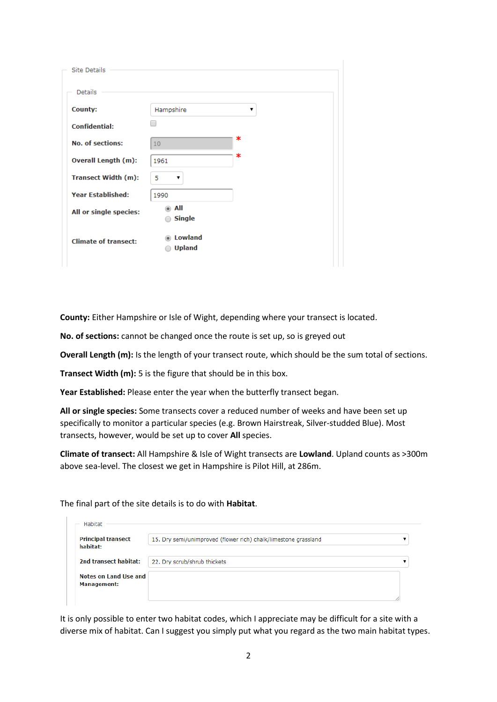| Site Details                |                          |    |
|-----------------------------|--------------------------|----|
| Details                     |                          |    |
| <b>County:</b>              | Hampshire                | ۷. |
| <b>Confidential:</b>        |                          |    |
| <b>No. of sections:</b>     | 10 <sub>1</sub>          | ∗  |
| Overall Length (m):         | 1961                     | ∗  |
| <b>Transect Width (m):</b>  | 5<br>▼                   |    |
| <b>Year Established:</b>    | 1990                     |    |
| All or single species:      | All<br><b>Single</b>     |    |
| <b>Climate of transect:</b> | Lowland<br><b>Upland</b> |    |

**County:** Either Hampshire or Isle of Wight, depending where your transect is located.

**No. of sections:** cannot be changed once the route is set up, so is greyed out

**Overall Length (m):** Is the length of your transect route, which should be the sum total of sections.

**Transect Width (m):** 5 is the figure that should be in this box.

**Year Established:** Please enter the year when the butterfly transect began.

**All or single species:** Some transects cover a reduced number of weeks and have been set up specifically to monitor a particular species (e.g. Brown Hairstreak, Silver-studded Blue). Most transects, however, would be set up to cover **All** species.

**Climate of transect:** All Hampshire & Isle of Wight transects are **Lowland**. Upland counts as >300m above sea-level. The closest we get in Hampshire is Pilot Hill, at 286m.

The final part of the site details is to do with **Habitat**.

| <b>Principal transect</b><br>habitat: | 15. Dry semi/unimproved (flower rich) chalk/limestone grassland |  |
|---------------------------------------|-----------------------------------------------------------------|--|
| 2nd transect habitat:                 | 22. Dry scrub/shrub thickets                                    |  |
| Notes on Land Use and                 |                                                                 |  |
| <b>Management:</b>                    |                                                                 |  |

It is only possible to enter two habitat codes, which I appreciate may be difficult for a site with a diverse mix of habitat. Can I suggest you simply put what you regard as the two main habitat types.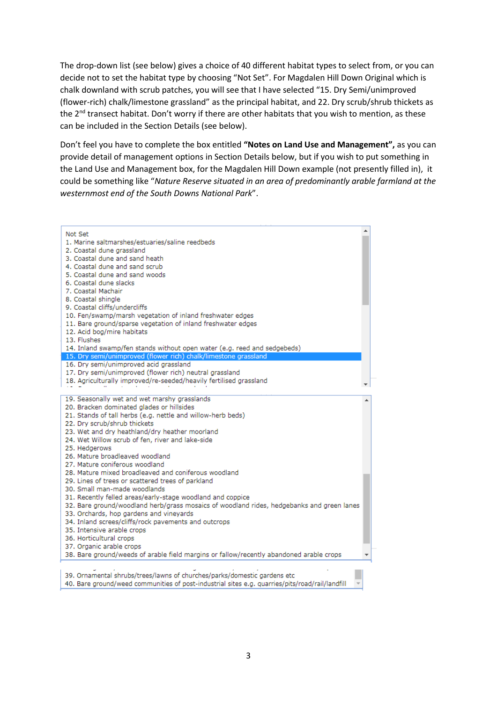The drop-down list (see below) gives a choice of 40 different habitat types to select from, or you can decide not to set the habitat type by choosing "Not Set". For Magdalen Hill Down Original which is chalk downland with scrub patches, you will see that I have selected "15. Dry Semi/unimproved (flower-rich) chalk/limestone grassland" as the principal habitat, and 22. Dry scrub/shrub thickets as the 2<sup>nd</sup> transect habitat. Don't worry if there are other habitats that you wish to mention, as these can be included in the Section Details (see below).

Don't feel you have to complete the box entitled **"Notes on Land Use and Management",** as you can provide detail of management options in Section Details below, but if you wish to put something in the Land Use and Management box, for the Magdalen Hill Down example (not presently filled in), it could be something like "*Nature Reserve situated in an area of predominantly arable farmland at the westernmost end of the South Downs National Park*".

| Not Set                                                                                         |  |
|-------------------------------------------------------------------------------------------------|--|
| 1. Marine saltmarshes/estuaries/saline reedbeds                                                 |  |
| 2. Coastal dune grassland                                                                       |  |
| 3. Coastal dune and sand heath                                                                  |  |
| 4. Coastal dune and sand scrub                                                                  |  |
| 5. Coastal dune and sand woods                                                                  |  |
| 6. Coastal dune slacks                                                                          |  |
| 7. Coastal Machair                                                                              |  |
| 8. Coastal shingle                                                                              |  |
| 9. Coastal cliffs/undercliffs                                                                   |  |
| 10. Fen/swamp/marsh vegetation of inland freshwater edges                                       |  |
| 11. Bare ground/sparse vegetation of inland freshwater edges                                    |  |
| 12. Acid bog/mire habitats                                                                      |  |
| 13. Flushes                                                                                     |  |
| 14. Inland swamp/fen stands without open water (e.g. reed and sedgebeds)                        |  |
| 15. Dry semi/unimproved (flower rich) chalk/limestone grassland                                 |  |
| 16. Dry semi/unimproved acid grassland                                                          |  |
| 17. Dry semi/unimproved (flower rich) neutral grassland                                         |  |
| 18. Agriculturally improved/re-seeded/heavily fertilised grassland                              |  |
|                                                                                                 |  |
| 19. Seasonally wet and wet marshy grasslands                                                    |  |
| 20. Bracken dominated glades or hillsides                                                       |  |
| 21. Stands of tall herbs (e.g. nettle and willow-herb beds)                                     |  |
| 22. Dry scrub/shrub thickets                                                                    |  |
| 23. Wet and dry heathland/dry heather moorland                                                  |  |
| 24. Wet Willow scrub of fen, river and lake-side                                                |  |
| 25. Hedgerows                                                                                   |  |
| 26. Mature broadleaved woodland                                                                 |  |
| 27. Mature coniferous woodland                                                                  |  |
| 28. Mature mixed broadleaved and coniferous woodland                                            |  |
| 29. Lines of trees or scattered trees of parkland                                               |  |
| 30. Small man-made woodlands                                                                    |  |
| 31. Recently felled areas/early-stage woodland and coppice                                      |  |
| 32. Bare ground/woodland herb/grass mosaics of woodland rides, hedgebanks and green lanes       |  |
| 33. Orchards, hop gardens and vineyards                                                         |  |
| 34. Inland screes/cliffs/rock pavements and outcrops                                            |  |
| 35. Intensive arable crops                                                                      |  |
| 36. Horticultural crops                                                                         |  |
| 37. Organic arable crops                                                                        |  |
| 38. Bare ground/weeds of arable field margins or fallow/recently abandoned arable crops         |  |
|                                                                                                 |  |
| 39. Ornamental shrubs/trees/lawns of churches/parks/domestic gardens etc                        |  |
| 40. Bare ground/weed communities of post-industrial sites e.g. quarries/pits/road/rail/landfill |  |
|                                                                                                 |  |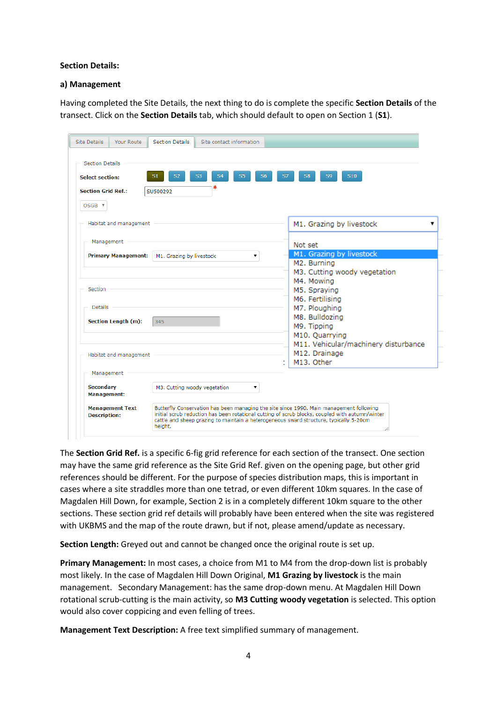### **Section Details:**

#### **a) Management**

Having completed the Site Details, the next thing to do is complete the specific **Section Details** of the transect. Click on the **Section Details** tab, which should default to open on Section 1 (**S1**).

| <b>Section Grid Ref.:</b>  | SU500292                           |                                                        |
|----------------------------|------------------------------------|--------------------------------------------------------|
| OSGB <b>v</b>              |                                    |                                                        |
| Habitat and management     |                                    | M1. Grazing by livestock                               |
| Management                 |                                    | Not set                                                |
| <b>Primary Management:</b> | M1. Grazing by livestock<br>۷.     | M1. Grazing by livestock                               |
|                            |                                    | M <sub>2</sub> . Burning                               |
|                            |                                    | M3. Cutting woody vegetation                           |
|                            |                                    | M4. Mowing                                             |
| Section                    |                                    | M5. Spraying                                           |
|                            |                                    | M6. Fertilising                                        |
| <b>Details</b>             |                                    | M7. Ploughing                                          |
| <b>Section Length (m):</b> | 345                                | M8. Bulldozing                                         |
|                            |                                    | M9. Tipping                                            |
|                            |                                    | M10. Quarrying<br>M11. Vehicular/machinery disturbance |
|                            |                                    | M12. Drainage                                          |
| Habitat and management     |                                    | M13. Other                                             |
| Management                 |                                    |                                                        |
|                            | M3. Cutting woody vegetation<br>۰. |                                                        |
| <b>Secondary</b>           |                                    |                                                        |

The **Section Grid Ref.** is a specific 6-fig grid reference for each section of the transect. One section may have the same grid reference as the Site Grid Ref. given on the opening page, but other grid references should be different. For the purpose of species distribution maps, this is important in cases where a site straddles more than one tetrad, or even different 10km squares. In the case of Magdalen Hill Down, for example, Section 2 is in a completely different 10km square to the other sections. These section grid ref details will probably have been entered when the site was registered with UKBMS and the map of the route drawn, but if not, please amend/update as necessary.

**Section Length:** Greyed out and cannot be changed once the original route is set up.

**Primary Management:** In most cases, a choice from M1 to M4 from the drop-down list is probably most likely. In the case of Magdalen Hill Down Original, **M1 Grazing by livestock** is the main management. Secondary Management: has the same drop-down menu. At Magdalen Hill Down rotational scrub-cutting is the main activity, so **M3 Cutting woody vegetation** is selected. This option would also cover coppicing and even felling of trees.

**Management Text Description:** A free text simplified summary of management.